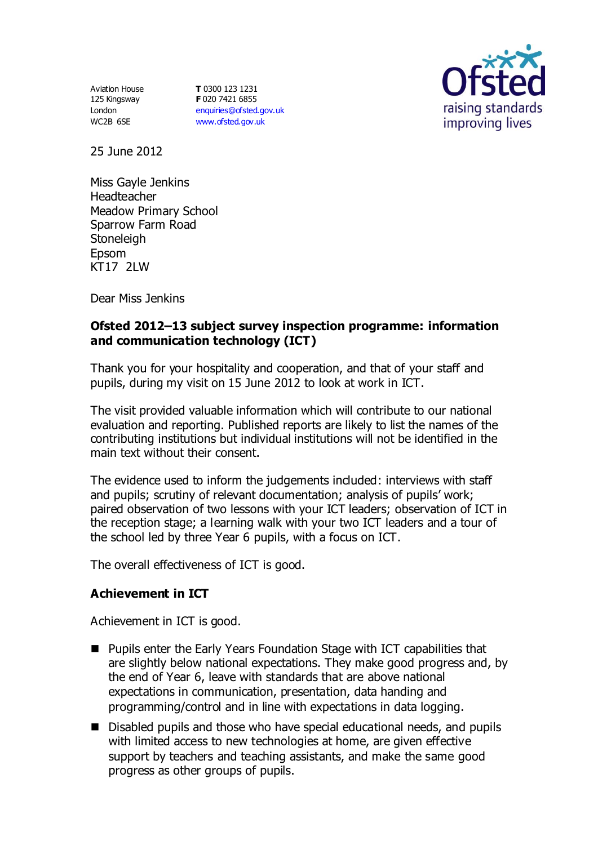Aviation House 125 Kingsway London WC2B 6SE

**T** 0300 123 1231 **F** 020 7421 6855 [enquiries@ofsted.gov.uk](mailto:enquiries@ofsted.gov.uk) [www.ofsted.gov.uk](http://www.ofsted.gov.uk/)



25 June 2012

Miss Gayle Jenkins Headteacher Meadow Primary School Sparrow Farm Road **Stoneleigh** Epsom KT17 2LW

Dear Miss Jenkins

# **Ofsted 2012–13 subject survey inspection programme: information and communication technology (ICT)**

Thank you for your hospitality and cooperation, and that of your staff and pupils, during my visit on 15 June 2012 to look at work in ICT.

The visit provided valuable information which will contribute to our national evaluation and reporting. Published reports are likely to list the names of the contributing institutions but individual institutions will not be identified in the main text without their consent.

The evidence used to inform the judgements included: interviews with staff and pupils; scrutiny of relevant documentation; analysis of pupils' work; paired observation of two lessons with your ICT leaders; observation of ICT in the reception stage; a learning walk with your two ICT leaders and a tour of the school led by three Year 6 pupils, with a focus on ICT.

The overall effectiveness of ICT is good.

# **Achievement in ICT**

Achievement in ICT is good.

- Pupils enter the Early Years Foundation Stage with ICT capabilities that are slightly below national expectations. They make good progress and, by the end of Year 6, leave with standards that are above national expectations in communication, presentation, data handing and programming/control and in line with expectations in data logging.
- Disabled pupils and those who have special educational needs, and pupils with limited access to new technologies at home, are given effective support by teachers and teaching assistants, and make the same good progress as other groups of pupils.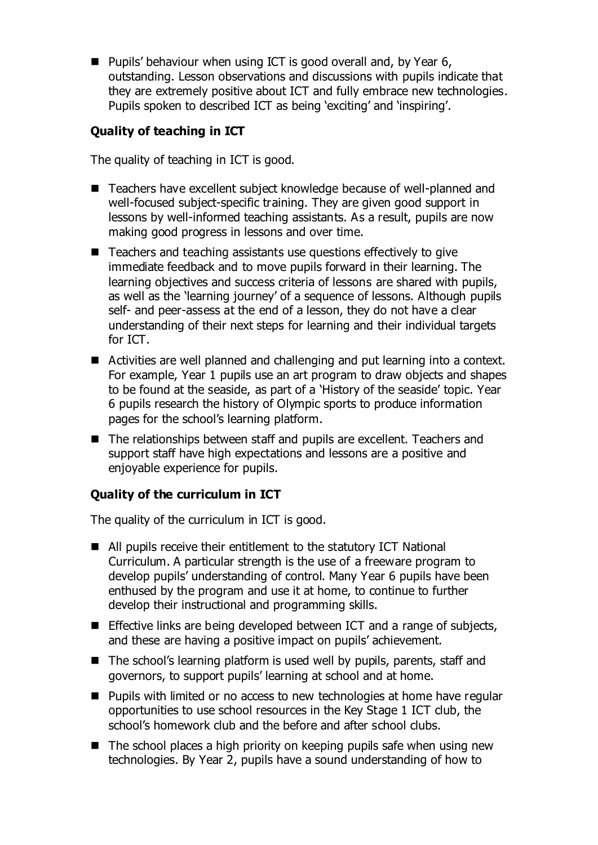**Pupils' behaviour when using ICT is good overall and, by Year 6,** outstanding. Lesson observations and discussions with pupils indicate that they are extremely positive about ICT and fully embrace new technologies. Pupils spoken to described ICT as being 'exciting' and 'inspiring'.

# **Quality of teaching in ICT**

The quality of teaching in ICT is good.

- Teachers have excellent subject knowledge because of well-planned and well-focused subject-specific training. They are given good support in lessons by well-informed teaching assistants. As a result, pupils are now making good progress in lessons and over time.
- Teachers and teaching assistants use questions effectively to give immediate feedback and to move pupils forward in their learning. The learning objectives and success criteria of lessons are shared with pupils, as well as the 'learning journey' of a sequence of lessons. Although pupils self- and peer-assess at the end of a lesson, they do not have a clear understanding of their next steps for learning and their individual targets for ICT.
- Activities are well planned and challenging and put learning into a context. For example, Year 1 pupils use an art program to draw objects and shapes to be found at the seaside, as part of a 'History of the seaside' topic. Year 6 pupils research the history of Olympic sports to produce information pages for the school's learning platform.
- The relationships between staff and pupils are excellent. Teachers and support staff have high expectations and lessons are a positive and enjoyable experience for pupils.

# **Quality of the curriculum in ICT**

The quality of the curriculum in ICT is good.

- All pupils receive their entitlement to the statutory ICT National Curriculum. A particular strength is the use of a freeware program to develop pupils' understanding of control. Many Year 6 pupils have been enthused by the program and use it at home, to continue to further develop their instructional and programming skills.
- **Effective links are being developed between ICT and a range of subjects,** and these are having a positive impact on pupils' achievement.
- The school's learning platform is used well by pupils, parents, staff and governors, to support pupils' learning at school and at home.
- **Pupils with limited or no access to new technologies at home have regular** opportunities to use school resources in the Key Stage 1 ICT club, the school's homework club and the before and after school clubs.
- $\blacksquare$  The school places a high priority on keeping pupils safe when using new technologies. By Year 2, pupils have a sound understanding of how to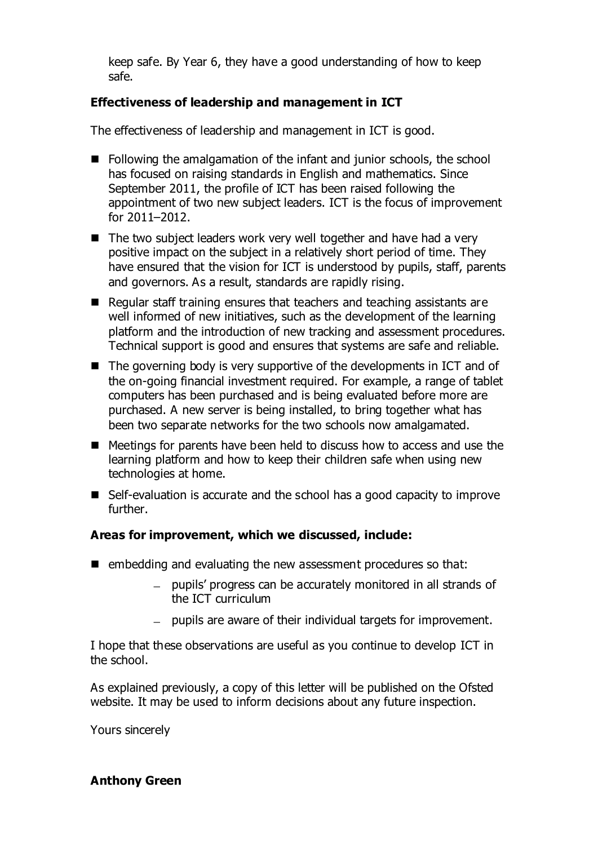keep safe. By Year 6, they have a good understanding of how to keep safe.

# **Effectiveness of leadership and management in ICT**

The effectiveness of leadership and management in ICT is good.

- Following the amalgamation of the infant and junior schools, the school has focused on raising standards in English and mathematics. Since September 2011, the profile of ICT has been raised following the appointment of two new subject leaders. ICT is the focus of improvement for 2011–2012.
- $\blacksquare$  The two subject leaders work very well together and have had a very positive impact on the subject in a relatively short period of time. They have ensured that the vision for ICT is understood by pupils, staff, parents and governors. As a result, standards are rapidly rising.
- Regular staff training ensures that teachers and teaching assistants are well informed of new initiatives, such as the development of the learning platform and the introduction of new tracking and assessment procedures. Technical support is good and ensures that systems are safe and reliable.
- $\blacksquare$  The governing body is very supportive of the developments in ICT and of the on-going financial investment required. For example, a range of tablet computers has been purchased and is being evaluated before more are purchased. A new server is being installed, to bring together what has been two separate networks for the two schools now amalgamated.
- Meetings for parents have been held to discuss how to access and use the learning platform and how to keep their children safe when using new technologies at home.
- Self-evaluation is accurate and the school has a good capacity to improve further.

# **Areas for improvement, which we discussed, include:**

- embedding and evaluating the new assessment procedures so that:
	- pupils' progress can be accurately monitored in all strands of the ICT curriculum
	- $-$  pupils are aware of their individual targets for improvement.

I hope that these observations are useful as you continue to develop ICT in the school.

As explained previously, a copy of this letter will be published on the Ofsted website. It may be used to inform decisions about any future inspection.

Yours sincerely

# **Anthony Green**